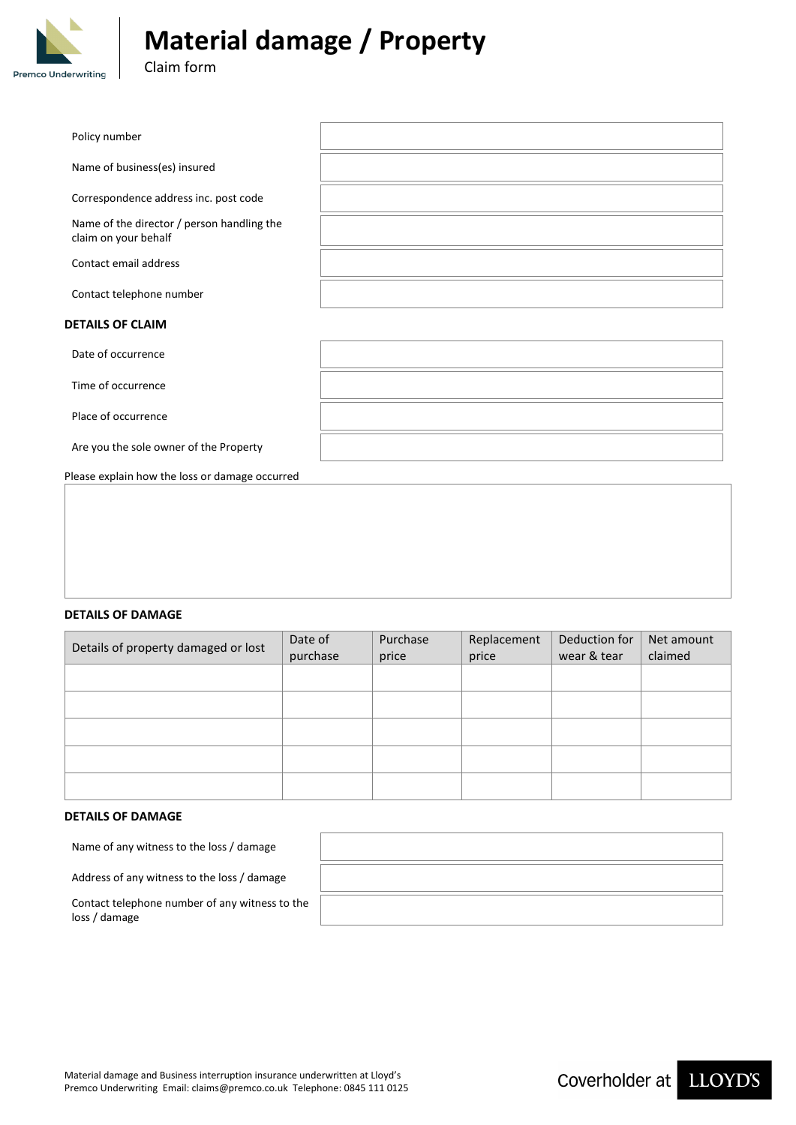

**Material damage / Property**

Claim form

| Policy number                                                      |  |
|--------------------------------------------------------------------|--|
| Name of business(es) insured                                       |  |
| Correspondence address inc. post code                              |  |
| Name of the director / person handling the<br>claim on your behalf |  |
| Contact email address                                              |  |
| Contact telephone number                                           |  |
| <b>DETAILS OF CLAIM</b>                                            |  |
| Date of occurrence                                                 |  |

Time of occurrence

Place of occurrence

Are you the sole owner of the Property

Please explain how the loss or damage occurred

#### **DETAILS OF DAMAGE**

| Details of property damaged or lost | Date of  | Purchase | Replacement | Deduction for | Net amount |
|-------------------------------------|----------|----------|-------------|---------------|------------|
|                                     | purchase | price    | price       | wear & tear   | claimed    |
|                                     |          |          |             |               |            |
|                                     |          |          |             |               |            |
|                                     |          |          |             |               |            |
|                                     |          |          |             |               |            |
|                                     |          |          |             |               |            |
|                                     |          |          |             |               |            |
|                                     |          |          |             |               |            |
|                                     |          |          |             |               |            |
|                                     |          |          |             |               |            |
|                                     |          |          |             |               |            |

## **DETAILS OF DAMAGE**

| Name of any witness to the loss / damage                        |  |
|-----------------------------------------------------------------|--|
| Address of any witness to the loss / damage                     |  |
| Contact telephone number of any witness to the<br>loss / damage |  |

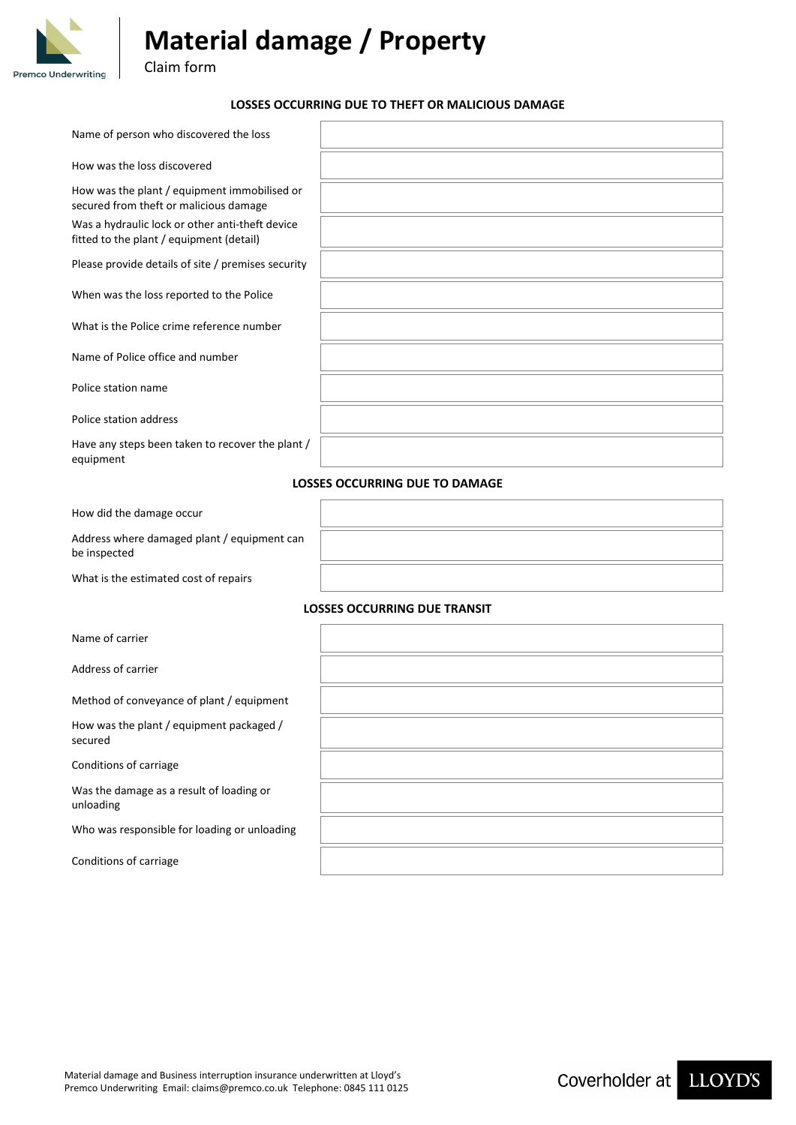

**Material damage / Property**

Claim form

#### **LOSSES OCCURRING DUE TO THEFT OR MALICIOUS DAMAGE**

| Name of person who discovered the loss                                                      |  |
|---------------------------------------------------------------------------------------------|--|
| How was the loss discovered                                                                 |  |
| How was the plant / equipment immobilised or<br>secured from theft or malicious damage      |  |
| Was a hydraulic lock or other anti-theft device<br>fitted to the plant / equipment (detail) |  |
| Please provide details of site / premises security                                          |  |
| When was the loss reported to the Police                                                    |  |
| What is the Police crime reference number                                                   |  |
| Name of Police office and number                                                            |  |
| Police station name                                                                         |  |
| Police station address                                                                      |  |
| Have any steps been taken to recover the plant /<br>equipment                               |  |

#### **LOSSES OCCURRING DUE TO DAMAGE**

How did the damage occur

Address where damaged plant / equipment can be inspected

What is the estimated cost of repairs

## **LOSSES OCCURRING DUE TRANSIT**

Name of carrier

Address of carrier

Method of conveyance of plant / equipment

How was the plant / equipment packaged / secured

Conditions of carriage

Was the damage as a result of loading or unloading

Who was responsible for loading or unloading

Conditions of carriage

Coverholder at LLOYD'S